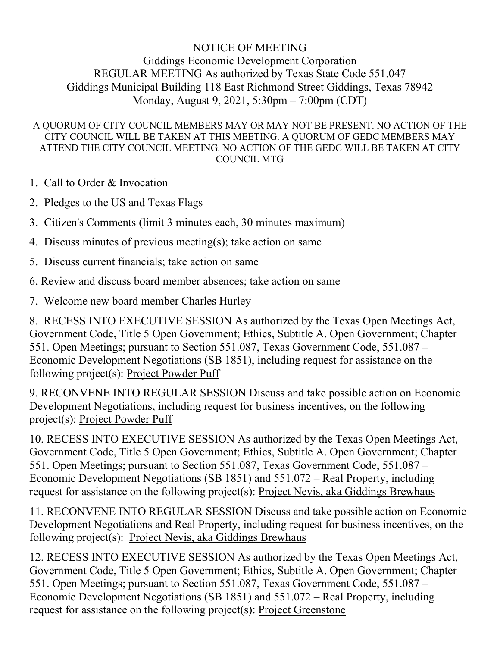## NOTICE OF MEETING Giddings Economic Development Corporation REGULAR MEETING As authorized by Texas State Code 551.047 Giddings Municipal Building 118 East Richmond Street Giddings, Texas 78942 Monday, August 9, 2021, 5:30pm – 7:00pm (CDT)

## A QUORUM OF CITY COUNCIL MEMBERS MAY OR MAY NOT BE PRESENT. NO ACTION OF THE CITY COUNCIL WILL BE TAKEN AT THIS MEETING. A QUORUM OF GEDC MEMBERS MAY ATTEND THE CITY COUNCIL MEETING. NO ACTION OF THE GEDC WILL BE TAKEN AT CITY COUNCIL MTG

- 1. Call to Order & Invocation
- 2. Pledges to the US and Texas Flags
- 3. Citizen's Comments (limit 3 minutes each, 30 minutes maximum)
- 4. Discuss minutes of previous meeting(s); take action on same
- 5. Discuss current financials; take action on same
- 6. Review and discuss board member absences; take action on same
- 7. Welcome new board member Charles Hurley

8. RECESS INTO EXECUTIVE SESSION As authorized by the Texas Open Meetings Act, Government Code, Title 5 Open Government; Ethics, Subtitle A. Open Government; Chapter 551. Open Meetings; pursuant to Section 551.087, Texas Government Code, 551.087 – Economic Development Negotiations (SB 1851), including request for assistance on the following project(s): Project Powder Puff

9. RECONVENE INTO REGULAR SESSION Discuss and take possible action on Economic Development Negotiations, including request for business incentives, on the following project(s): Project Powder Puff

10. RECESS INTO EXECUTIVE SESSION As authorized by the Texas Open Meetings Act, Government Code, Title 5 Open Government; Ethics, Subtitle A. Open Government; Chapter 551. Open Meetings; pursuant to Section 551.087, Texas Government Code, 551.087 – Economic Development Negotiations (SB 1851) and 551.072 – Real Property, including request for assistance on the following project(s): Project Nevis, aka Giddings Brewhaus

11. RECONVENE INTO REGULAR SESSION Discuss and take possible action on Economic Development Negotiations and Real Property, including request for business incentives, on the following project(s): Project Nevis, aka Giddings Brewhaus

12. RECESS INTO EXECUTIVE SESSION As authorized by the Texas Open Meetings Act, Government Code, Title 5 Open Government; Ethics, Subtitle A. Open Government; Chapter 551. Open Meetings; pursuant to Section 551.087, Texas Government Code, 551.087 – Economic Development Negotiations (SB 1851) and 551.072 – Real Property, including request for assistance on the following project(s): Project Greenstone